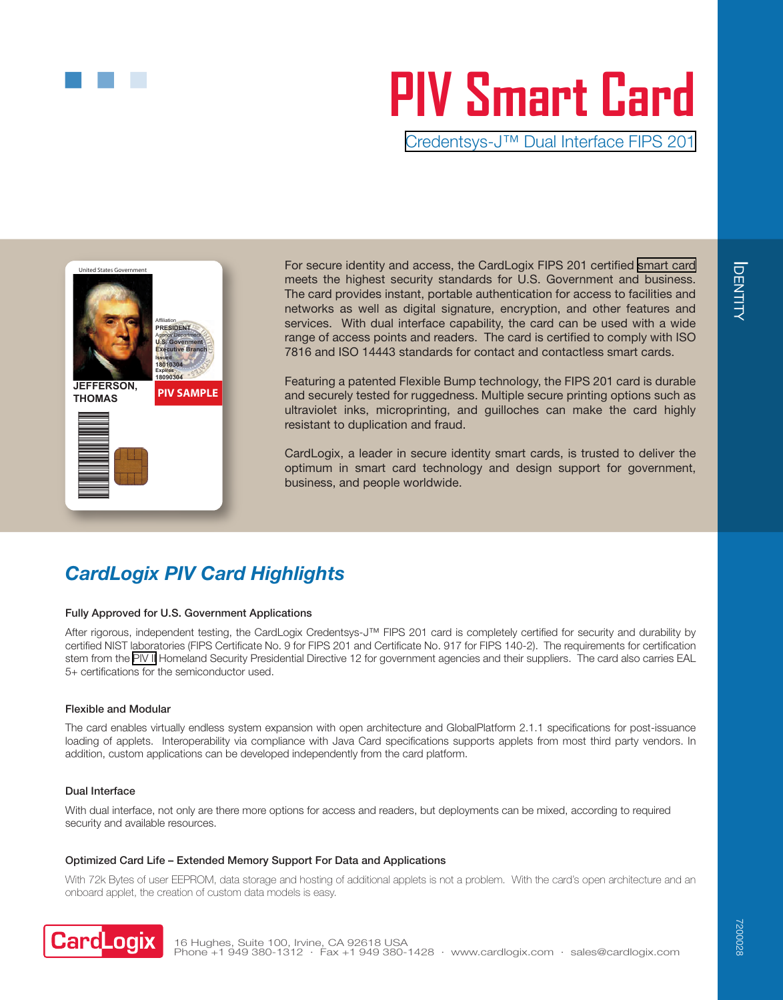# **PIV Smart Card**

[Credentsys-J™ Dual Interface FIPS 201](https://www.cardlogix.com/product/cardlogix-credentsys-piv-card/)



For secure identity and access, the CardLogix FIPS 201 certified [smart card](https://www.cardlogix.com/product-category/smart-cards/) meets the highest security standards for U.S. Government and business. The card provides instant, portable authentication for access to facilities and networks as well as digital signature, encryption, and other features and services. With dual interface capability, the card can be used with a wide range of access points and readers. The card is certified to comply with ISO 7816 and ISO 14443 standards for contact and contactless smart cards.

Featuring a patented Flexible Bump technology, the FIPS 201 card is durable and securely tested for ruggedness. Multiple secure printing options such as ultraviolet inks, microprinting, and guilloches can make the card highly resistant to duplication and fraud.

CardLogix, a leader in secure identity smart cards, is trusted to deliver the optimum in smart card technology and design support for government, business, and people worldwide.

# *CardLogix PIV Card Highlights*

# Fully Approved for U.S. Government Applications

After rigorous, independent testing, the CardLogix Credentsys-J™ FIPS 201 card is completely certified for security and durability by certified NIST laboratories (FIPS Certificate No. 9 for FIPS 201 and Certificate No. 917 for FIPS 140-2). The requirements for certification stem from the [PIV II](https://www.cardlogix.com/product-category/smart-cards/pki-minidriver-piv-cards/) Homeland Security Presidential Directive 12 for government agencies and their suppliers. The card also carries EAL 5+ certifications for the semiconductor used.

## Flexible and Modular

The card enables virtually endless system expansion with open architecture and GlobalPlatform 2.1.1 specifications for post-issuance loading of applets. Interoperability via compliance with Java Card specifications supports applets from most third party vendors. In addition, custom applications can be developed independently from the card platform.

#### Dual Interface

With dual interface, not only are there more options for access and readers, but deployments can be mixed, according to required security and available resources.

#### Optimized Card Life – Extended Memory Support For Data and Applications

With 72k Bytes of user EEPROM, data storage and hosting of additional applets is not a problem. With the card's open architecture and an